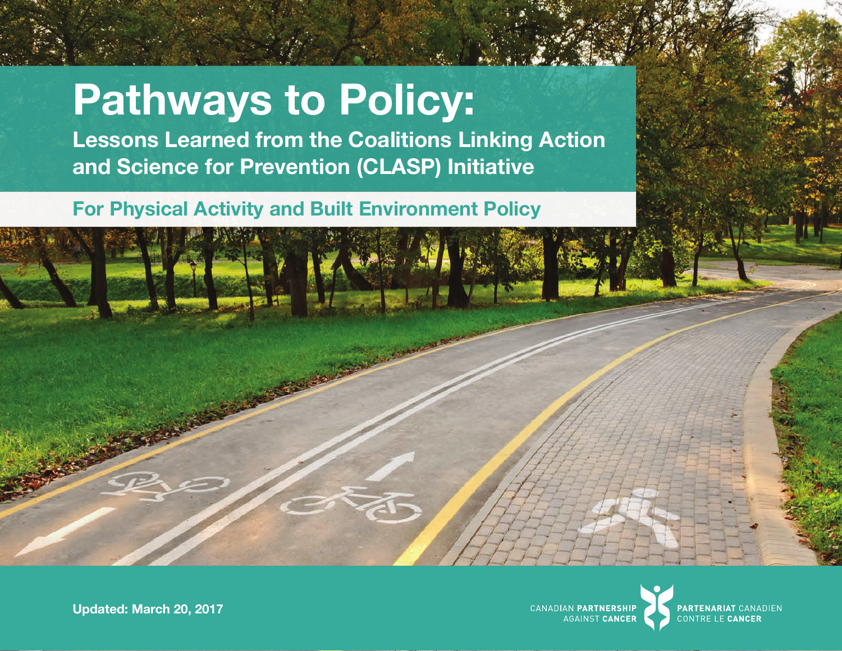# **Pathways to Policy:**

**Lessons Learned from the Coalitions Linking Action and Science for Prevention (CLASP) Initiative**

# **For Physical Activity and Built Environment Policy**



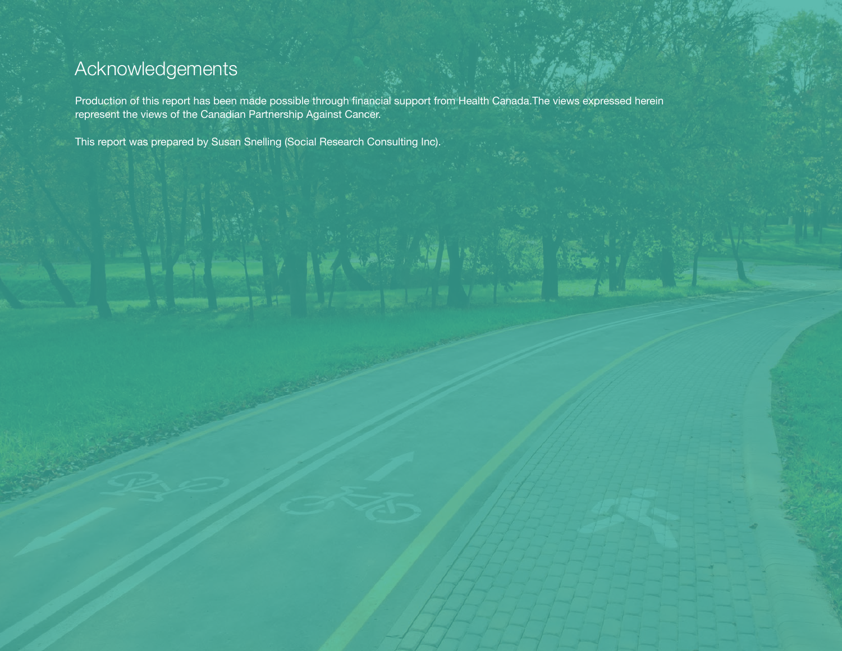# Acknowledgements

Production of this report has been made possible through financial support from Health Canada.The views expressed herein represent the views of the Canadian Partnership Against Cancer.

This report was prepared by Susan Snelling (Social Research Consulting Inc).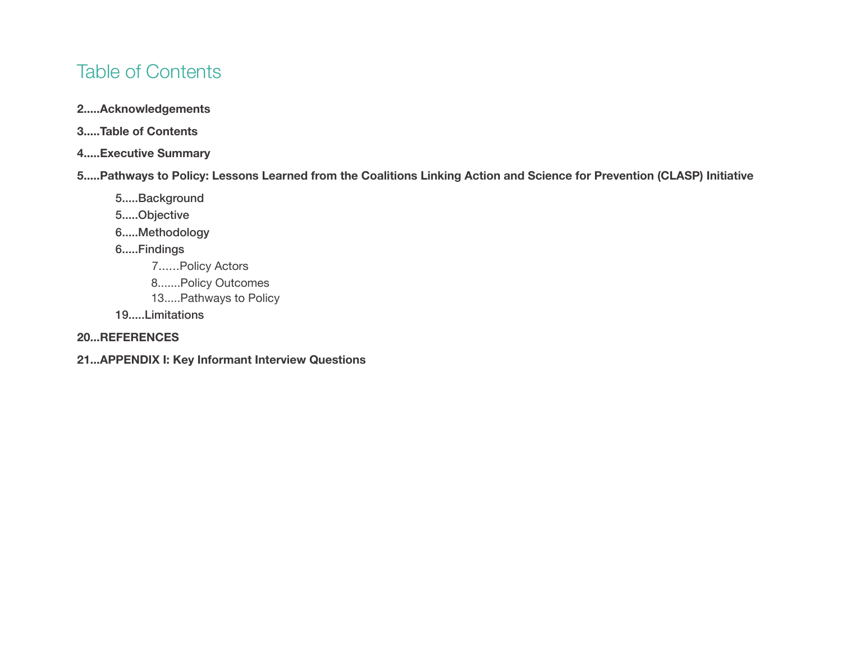# Table of Contents

- **2.....Acknowledgements**
- **3.....Table of Contents**
- **4.....Executive Summary**
- **5.....Pathways to Policy: Lessons Learned from the Coalitions Linking Action and Science for Prevention (CLASP) Initiative**
	- 5.....Background
	- 5.....Objective
	- 6.....Methodology
	- 6.....Findings
		- 7......Policy Actors
		- 8.......Policy Outcomes
		- 13.....Pathways to Policy
	- 19.....Limitations

#### **20...REFERENCES**

**21...APPENDIX I: Key Informant Interview Questions**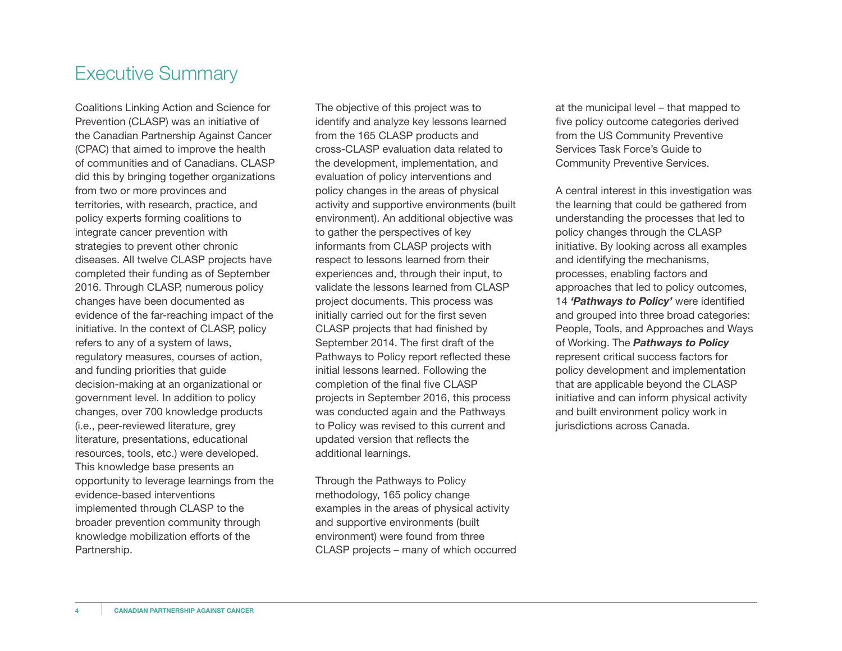# Executive Summary

Coalitions Linking Action and Science for Prevention (CLASP) was an initiative of the Canadian Partnership Against Cancer (CPAC) that aimed to improve the health of communities and of Canadians. CLASP did this by bringing together organizations from two or more provinces and territories, with research, practice, and policy experts forming coalitions to integrate cancer prevention with strategies to prevent other chronic diseases. All twelve CLASP projects have completed their funding as of September 2016. Through CLASP, numerous policy changes have been documented as evidence of the far-reaching impact of the initiative. In the context of CLASP, policy refers to any of a system of laws, regulatory measures, courses of action, and funding priorities that guide decision-making at an organizational or government level. In addition to policy changes, over 700 knowledge products (i.e., peer-reviewed literature, grey literature, presentations, educational resources, tools, etc.) were developed. This knowledge base presents an opportunity to leverage learnings from the evidence-based interventions implemented through CLASP to the broader prevention community through knowledge mobilization efforts of the Partnership.

The objective of this project was to identify and analyze key lessons learned from the 165 CLASP products and cross-CLASP evaluation data related to the development, implementation, and evaluation of policy interventions and policy changes in the areas of physical activity and supportive environments (built environment). An additional objective was to gather the perspectives of key informants from CLASP projects with respect to lessons learned from their experiences and, through their input, to validate the lessons learned from CLASP project documents. This process was initially carried out for the first seven CLASP projects that had finished by September 2014. The first draft of the Pathways to Policy report reflected these initial lessons learned. Following the completion of the final five CLASP projects in September 2016, this process was conducted again and the Pathways to Policy was revised to this current and updated version that reflects the additional learnings.

Through the Pathways to Policy methodology, 165 policy change examples in the areas of physical activity and supportive environments (built environment) were found from three CLASP projects – many of which occurred at the municipal level – that mapped to five policy outcome categories derived from the US Community Preventive Services Task Force's Guide to Community Preventive Services.

A central interest in this investigation was the learning that could be gathered from understanding the processes that led to policy changes through the CLASP initiative. By looking across all examples and identifying the mechanisms, processes, enabling factors and approaches that led to policy outcomes, 14 *'Pathways to Policy'* were identified and grouped into three broad categories: People, Tools, and Approaches and Ways of Working. The *Pathways to Policy* represent critical success factors for policy development and implementation that are applicable beyond the CLASP initiative and can inform physical activity and built environment policy work in jurisdictions across Canada.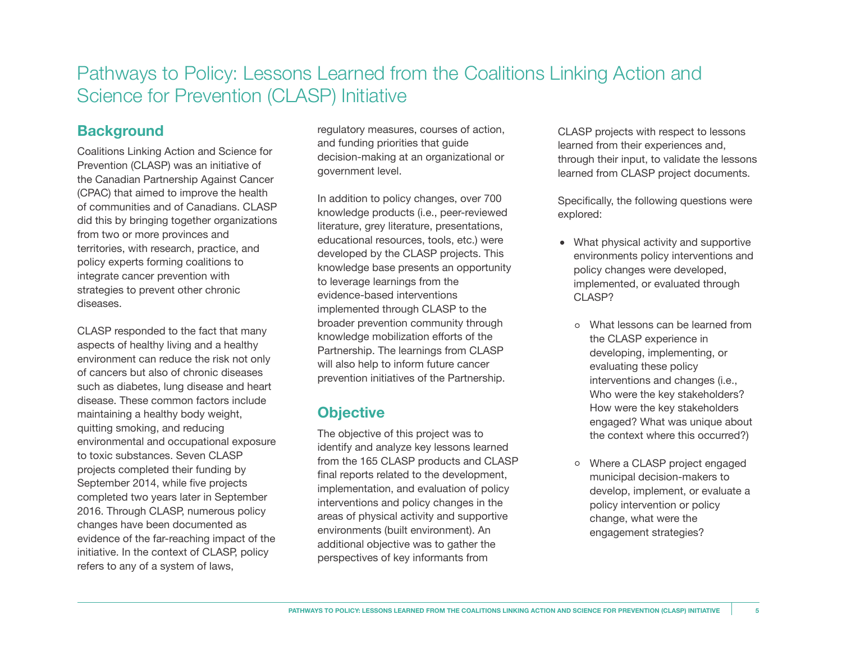# Pathways to Policy: Lessons Learned from the Coalitions Linking Action and Science for Prevention (CLASP) Initiative

#### **Background**

Coalitions Linking Action and Science for Prevention (CLASP) was an initiative of the Canadian Partnership Against Cancer (CPAC) that aimed to improve the health of communities and of Canadians. CLASP did this by bringing together organizations from two or more provinces and territories, with research, practice, and policy experts forming coalitions to integrate cancer prevention with strategies to prevent other chronic diseases.

CLASP responded to the fact that many aspects of healthy living and a healthy environment can reduce the risk not only of cancers but also of chronic diseases such as diabetes, lung disease and heart disease. These common factors include maintaining a healthy body weight, quitting smoking, and reducing environmental and occupational exposure to toxic substances. Seven CLASP projects completed their funding by September 2014, while five projects completed two years later in September 2016. Through CLASP, numerous policy changes have been documented as evidence of the far-reaching impact of the initiative. In the context of CLASP, policy refers to any of a system of laws,

regulatory measures, courses of action, and funding priorities that guide decision-making at an organizational or government level.

In addition to policy changes, over 700 knowledge products (i.e., peer-reviewed literature, grey literature, presentations, educational resources, tools, etc.) were developed by the CLASP projects. This knowledge base presents an opportunity to leverage learnings from the evidence-based interventions implemented through CLASP to the broader prevention community through knowledge mobilization efforts of the Partnership. The learnings from CLASP will also help to inform future cancer prevention initiatives of the Partnership.

#### **Objective**

The objective of this project was to identify and analyze key lessons learned from the 165 CLASP products and CLASP final reports related to the development, implementation, and evaluation of policy interventions and policy changes in the areas of physical activity and supportive environments (built environment). An additional objective was to gather the perspectives of key informants from

CLASP projects with respect to lessons learned from their experiences and, through their input, to validate the lessons learned from CLASP project documents.

Specifically, the following questions were explored:

- What physical activity and supportive environments policy interventions and policy changes were developed, implemented, or evaluated through CLASP?
	- What lessons can be learned from the CLASP experience in developing, implementing, or evaluating these policy interventions and changes (i.e., Who were the key stakeholders? How were the key stakeholders engaged? What was unique about the context where this occurred?)
	- Where a CLASP project engaged municipal decision-makers to develop, implement, or evaluate a policy intervention or policy change, what were the engagement strategies?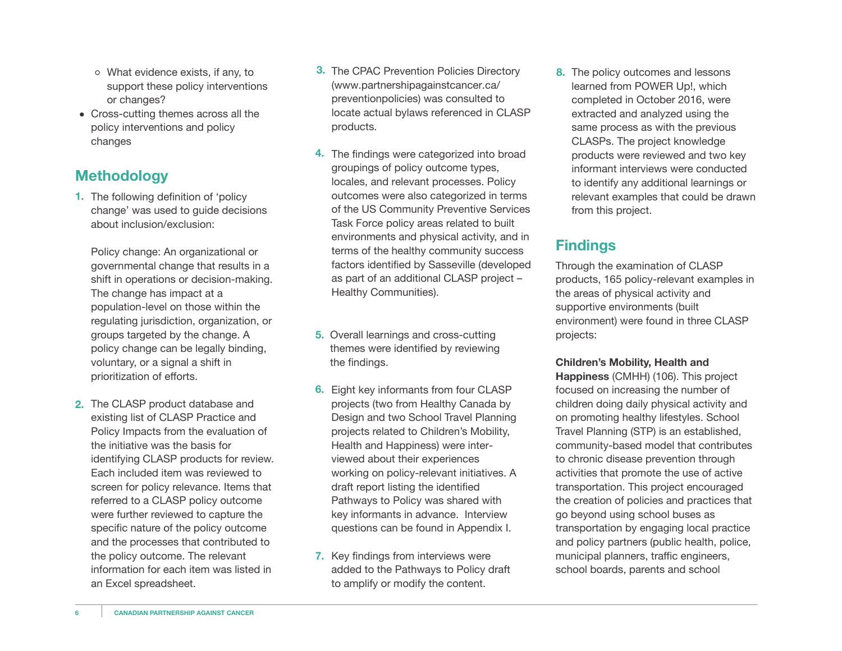- What evidence exists, if any, to support these policy interventions or changes?
- Cross-cutting themes across all the policy interventions and policy changes

### **Methodology**

**1.** The following definition of 'policy change' was used to guide decisions about inclusion/exclusion:

Policy change: An organizational or governmental change that results in a shift in operations or decision-making. The change has impact at a population-level on those within the regulating jurisdiction, organization, or groups targeted by the change. A policy change can be legally binding, voluntary, or a signal a shift in prioritization of efforts.

2. The CLASP product database and existing list of CLASP Practice and Policy Impacts from the evaluation of the initiative was the basis for identifying CLASP products for review. Each included item was reviewed to screen for policy relevance. Items that referred to a CLASP policy outcome were further reviewed to capture the specific nature of the policy outcome and the processes that contributed to the policy outcome. The relevant information for each item was listed in an Excel spreadsheet.

- **3.** The CPAC Prevention Policies Directory ([www.partnershipagainstcancer.ca/](www.partnershipagainstcancer.ca/preventionpolicies) preventionpolicies) was consulted to locate actual bylaws referenced in CLASP products.
- The findings were categorized into broad **4.** groupings of policy outcome types, locales, and relevant processes. Policy outcomes were also categorized in terms of the US Community Preventive Services Task Force policy areas related to built environments and physical activity, and in terms of the healthy community success factors identified by Sasseville (developed as part of an additional CLASP project – Healthy Communities).
- **5.** Overall learnings and cross-cutting themes were identified by reviewing the findings.
- Eight key informants from four CLASP **6.** projects (two from Healthy Canada by Design and two School Travel Planning projects related to Children's Mobility, Health and Happiness) were interviewed about their experiences working on policy-relevant initiatives. A draft report listing the identified Pathways to Policy was shared with key informants in advance. Interview questions can be found in Appendix I.
- **7.** Key findings from interviews were added to the Pathways to Policy draft to amplify or modify the content.

**8.** The policy outcomes and lessons learned from POWER Up!, which completed in October 2016, were extracted and analyzed using the same process as with the previous CLASPs. The project knowledge products were reviewed and two key informant interviews were conducted to identify any additional learnings or relevant examples that could be drawn from this project.

## **Findings**

Through the examination of CLASP products, 165 policy-relevant examples in the areas of physical activity and supportive environments (built environment) were found in three CLASP projects:

**Children's Mobility, Health and Happiness** (CMHH) (106). This project focused on increasing the number of children doing daily physical activity and on promoting healthy lifestyles. School Travel Planning (STP) is an established, community-based model that contributes to chronic disease prevention through activities that promote the use of active transportation. This project encouraged the creation of policies and practices that go beyond using school buses as transportation by engaging local practice and policy partners (public health, police, municipal planners, traffic engineers, school boards, parents and school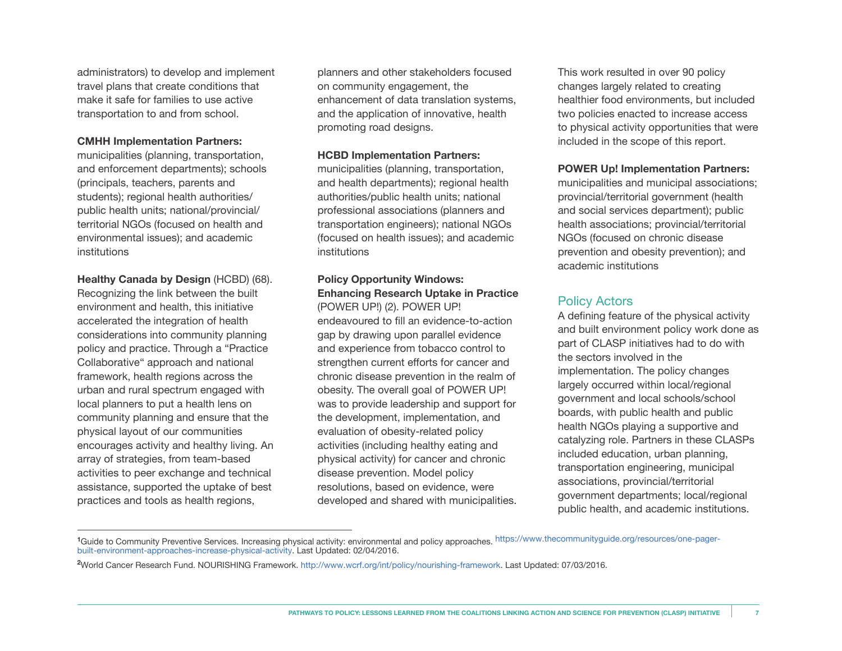administrators) to develop and implement travel plans that create conditions that make it safe for families to use active transportation to and from school.

#### **CMHH Implementation Partners:**

municipalities (planning, transportation, and enforcement departments); schools (principals, teachers, parents and students); regional health authorities/ public health units; national/provincial/ territorial NGOs (focused on health and environmental issues); and academic institutions

**Healthy Canada by Design** (HCBD) (68). Recognizing the link between the built environment and health, this initiative accelerated the integration of health considerations into community planning policy and practice. Through a "Practice Collaborative" approach and national framework, health regions across the urban and rural spectrum engaged with local planners to put a health lens on community planning and ensure that the physical layout of our communities encourages activity and healthy living. An array of strategies, from team-based activities to peer exchange and technical assistance, supported the uptake of best practices and tools as health regions,

planners and other stakeholders focused on community engagement, the enhancement of data translation systems, and the application of innovative, health promoting road designs.

#### **HCBD Implementation Partners:**

municipalities (planning, transportation, and health departments); regional health authorities/public health units; national professional associations (planners and transportation engineers); national NGOs (focused on health issues); and academic institutions

#### **Policy Opportunity Windows: Enhancing Research Uptake in Practice**

(POWER UP!) (2). POWER UP! endeavoured to fill an evidence-to-action gap by drawing upon parallel evidence and experience from tobacco control to strengthen current efforts for cancer and chronic disease prevention in the realm of obesity. The overall goal of POWER UP! was to provide leadership and support for the development, implementation, and evaluation of obesity-related policy activities (including healthy eating and physical activity) for cancer and chronic disease prevention. Model policy resolutions, based on evidence, were developed and shared with municipalities.

This work resulted in over 90 policy changes largely related to creating healthier food environments, but included two policies enacted to increase access to physical activity opportunities that were included in the scope of this report.

#### **POWER Up! Implementation Partners:**

municipalities and municipal associations; provincial/territorial government (health and social services department); public health associations; provincial/territorial NGOs (focused on chronic disease prevention and obesity prevention); and academic institutions

#### Policy Actors

A defining feature of the physical activity and built environment policy work done as part of CLASP initiatives had to do with the sectors involved in the implementation. The policy changes largely occurred within local/regional government and local schools/school boards, with public health and public health NGOs playing a supportive and catalyzing role. Partners in these CLASPs included education, urban planning, transportation engineering, municipal associations, provincial/territorial government departments; local/regional public health, and academic institutions.

<sup>&</sup>lt;sup>1</sup>Guide to Community Preventive Services. Increasing physical activity: environmental and policy approaches. [https://www.thecommunityguide.org/resources/one-pager](https://www.thecommunityguide.org/resources/one-pager-built-environment-approaches-increase-physical-activity)[built-environment-approaches-increase-physical-activity](https://www.thecommunityguide.org/resources/one-pager-built-environment-approaches-increase-physical-activity). Last Updated: 02/04/2016.

**<sup>2</sup>**World Cancer Research Fund. NOURISHING Framework. http://www.wcrf.org/int/policy/nourishing-framework. Last Updated: 07/03/2016.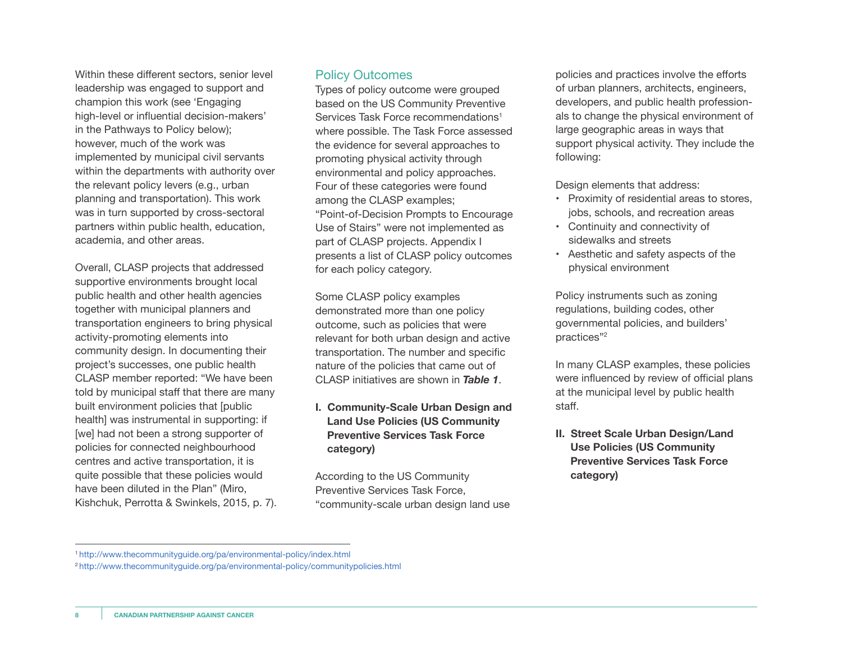Within these different sectors, senior level leadership was engaged to support and champion this work (see 'Engaging high-level or influential decision-makers' in the Pathways to Policy below); however, much of the work was implemented by municipal civil servants within the departments with authority over the relevant policy levers (e.g., urban planning and transportation). This work was in turn supported by cross-sectoral partners within public health, education, academia, and other areas.

Overall, CLASP projects that addressed supportive environments brought local public health and other health agencies together with municipal planners and transportation engineers to bring physical activity-promoting elements into community design. In documenting their project's successes, one public health CLASP member reported: "We have been told by municipal staff that there are many built environment policies that [public health] was instrumental in supporting: if [we] had not been a strong supporter of policies for connected neighbourhood centres and active transportation, it is quite possible that these policies would have been diluted in the Plan" (Miro, Kishchuk, Perrotta & Swinkels, 2015, p. 7).

#### Policy Outcomes

Types of policy outcome were grouped based on the US Community Preventive Services Task Force recommendations<sup>1</sup> where possible. The Task Force assessed the evidence for several approaches to promoting physical activity through environmental and policy approaches. Four of these categories were found among the CLASP examples; "Point-of-Decision Prompts to Encourage Use of Stairs" were not implemented as part of CLASP projects. Appendix I presents a list of CLASP policy outcomes for each policy category.

Some CLASP policy examples demonstrated more than one policy outcome, such as policies that were relevant for both urban design and active transportation. The number and specific nature of the policies that came out of CLASP initiatives are shown in *Table 1*.

**I. Community-Scale Urban Design and Land Use Policies (US Community Preventive Services Task Force category)**

According to the US Community Preventive Services Task Force, "community-scale urban design land use policies and practices involve the efforts of urban planners, architects, engineers, developers, and public health professionals to change the physical environment of large geographic areas in ways that support physical activity. They include the following:

Design elements that address:

- Proximity of residential areas to stores, jobs, schools, and recreation areas
- Continuity and connectivity of sidewalks and streets
- Aesthetic and safety aspects of the physical environment

Policy instruments such as zoning regulations, building codes, other governmental policies, and builders' practices"2

In many CLASP examples, these policies were influenced by review of official plans at the municipal level by public health staff.

**II. Street Scale Urban Design/Land Use Policies (US Community Preventive Services Task Force category)**

<sup>1</sup> http://www.thecommunityguide.org/pa/environmental-policy/index.html

<sup>2</sup> http://www.thecommunityguide.org/pa/environmental-policy/communitypolicies.html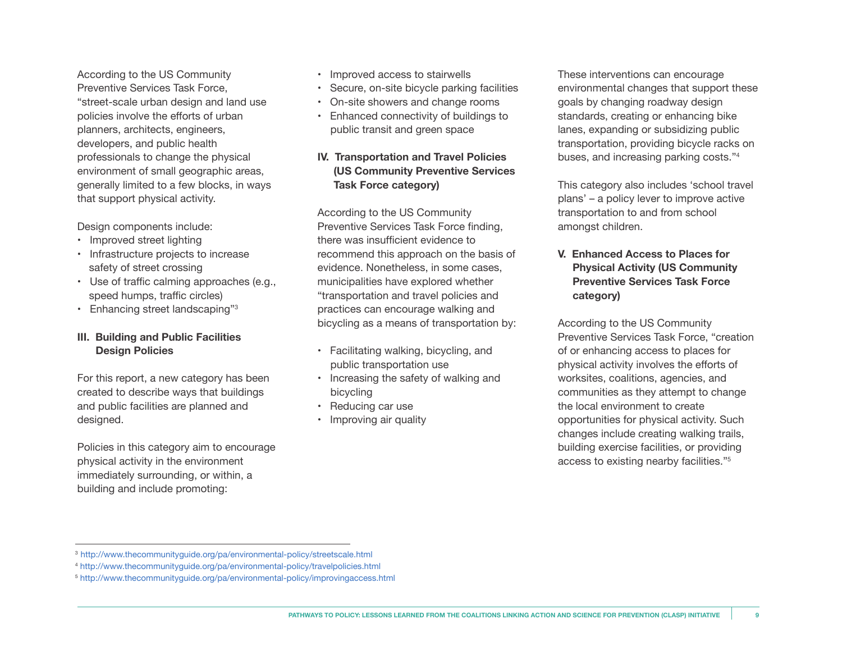According to the US Community Preventive Services Task Force, "street-scale urban design and land use policies involve the efforts of urban planners, architects, engineers, developers, and public health professionals to change the physical environment of small geographic areas, generally limited to a few blocks, in ways that support physical activity.

Design components include:

- Improved street lighting
- Infrastructure projects to increase safety of street crossing
- Use of traffic calming approaches (e.g., speed humps, traffic circles)
- Enhancing street landscaping"<sup>3</sup>

#### **III. Building and Public Facilities Design Policies**

For this report, a new category has been created to describe ways that buildings and public facilities are planned and designed.

Policies in this category aim to encourage physical activity in the environment immediately surrounding, or within, a building and include promoting:

- Improved access to stairwells
- Secure, on-site bicycle parking facilities
- On-site showers and change rooms
- Enhanced connectivity of buildings to public transit and green space

#### **IV. Transportation and Travel Policies (US Community Preventive Services Task Force category)**

According to the US Community Preventive Services Task Force finding, there was insufficient evidence to recommend this approach on the basis of evidence. Nonetheless, in some cases, municipalities have explored whether "transportation and travel policies and practices can encourage walking and bicycling as a means of transportation by:

- Facilitating walking, bicycling, and public transportation use
- Increasing the safety of walking and bicycling
- Reducing car use
- Improving air quality

These interventions can encourage environmental changes that support these goals by changing roadway design standards, creating or enhancing bike lanes, expanding or subsidizing public transportation, providing bicycle racks on buses, and increasing parking costs."4

This category also includes 'school travel plans' – a policy lever to improve active transportation to and from school amongst children.

#### **V. Enhanced Access to Places for Physical Activity (US Community Preventive Services Task Force category)**

According to the US Community Preventive Services Task Force, "creation of or enhancing access to places for physical activity involves the efforts of worksites, coalitions, agencies, and communities as they attempt to change the local environment to create opportunities for physical activity. Such changes include creating walking trails, building exercise facilities, or providing access to existing nearby facilities."5

<sup>3</sup> http://www.thecommunityguide.org/pa/environmental-policy/streetscale.html

<sup>4</sup> http://www.thecommunityguide.org/pa/environmental-policy/travelpolicies.html

<sup>5</sup> http://www.thecommunityguide.org/pa/environmental-policy/improvingaccess.html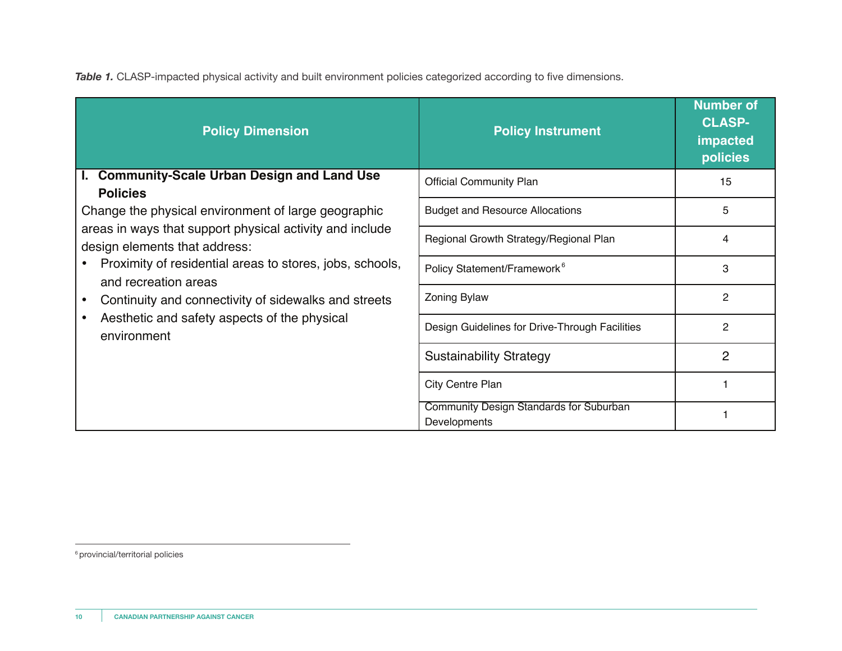*Table 1.* CLASP-impacted physical activity and built environment policies categorized according to five dimensions.

| <b>Policy Dimension</b>                                                                                                                                                                                                                                                                                                                                                                                                                            | <b>Policy Instrument</b>                                | <b>Number of</b><br><b>CLASP-</b><br>impacted<br>policies |
|----------------------------------------------------------------------------------------------------------------------------------------------------------------------------------------------------------------------------------------------------------------------------------------------------------------------------------------------------------------------------------------------------------------------------------------------------|---------------------------------------------------------|-----------------------------------------------------------|
| <b>Community-Scale Urban Design and Land Use</b><br>ь.<br><b>Policies</b><br>Change the physical environment of large geographic<br>areas in ways that support physical activity and include<br>design elements that address:<br>Proximity of residential areas to stores, jobs, schools,<br>and recreation areas<br>Continuity and connectivity of sidewalks and streets<br>٠<br>Aesthetic and safety aspects of the physical<br>٠<br>environment | <b>Official Community Plan</b>                          | 15                                                        |
|                                                                                                                                                                                                                                                                                                                                                                                                                                                    | <b>Budget and Resource Allocations</b>                  | 5                                                         |
|                                                                                                                                                                                                                                                                                                                                                                                                                                                    | Regional Growth Strategy/Regional Plan                  | 4                                                         |
|                                                                                                                                                                                                                                                                                                                                                                                                                                                    | Policy Statement/Framework <sup>6</sup>                 | 3                                                         |
|                                                                                                                                                                                                                                                                                                                                                                                                                                                    | Zoning Bylaw                                            | $\overline{2}$                                            |
|                                                                                                                                                                                                                                                                                                                                                                                                                                                    | Design Guidelines for Drive-Through Facilities          | $\mathbf{2}$                                              |
|                                                                                                                                                                                                                                                                                                                                                                                                                                                    | <b>Sustainability Strategy</b>                          | $\overline{2}$                                            |
|                                                                                                                                                                                                                                                                                                                                                                                                                                                    | City Centre Plan                                        |                                                           |
|                                                                                                                                                                                                                                                                                                                                                                                                                                                    | Community Design Standards for Suburban<br>Developments |                                                           |

6 provincial/territorial policies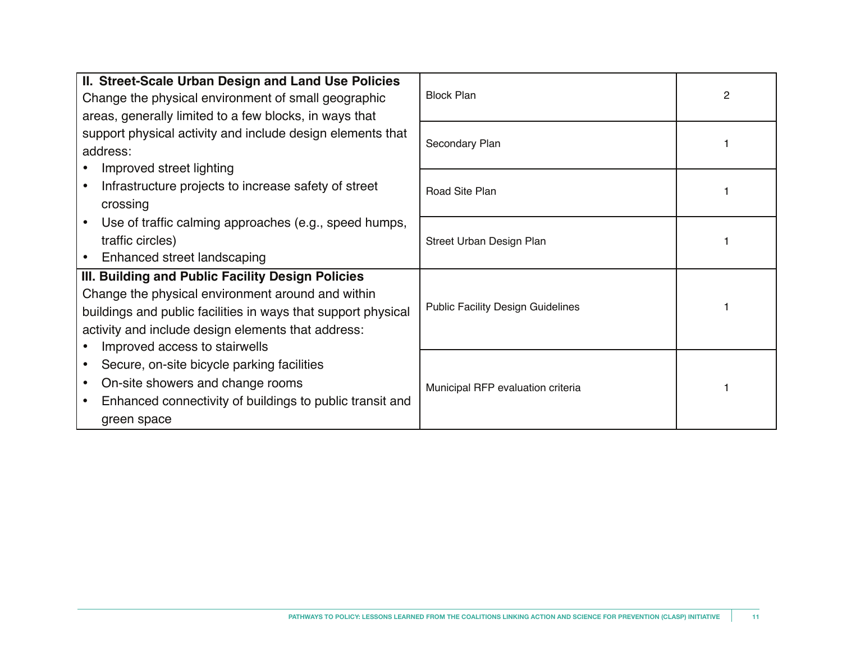| II. Street-Scale Urban Design and Land Use Policies<br>Change the physical environment of small geographic<br>areas, generally limited to a few blocks, in ways that                                                                                             | <b>Block Plan</b>                 |  |
|------------------------------------------------------------------------------------------------------------------------------------------------------------------------------------------------------------------------------------------------------------------|-----------------------------------|--|
| support physical activity and include design elements that<br>address:<br>• Improved street lighting                                                                                                                                                             | Secondary Plan                    |  |
| • Infrastructure projects to increase safety of street<br>crossing                                                                                                                                                                                               | Road Site Plan                    |  |
| Use of traffic calming approaches (e.g., speed humps,<br>traffic circles)<br>Enhanced street landscaping                                                                                                                                                         | Street Urban Design Plan          |  |
| III. Building and Public Facility Design Policies<br>Change the physical environment around and within<br>buildings and public facilities in ways that support physical<br>activity and include design elements that address:<br>• Improved access to stairwells | Public Facility Design Guidelines |  |
| Secure, on-site bicycle parking facilities<br>On-site showers and change rooms<br>Enhanced connectivity of buildings to public transit and<br>green space                                                                                                        | Municipal RFP evaluation criteria |  |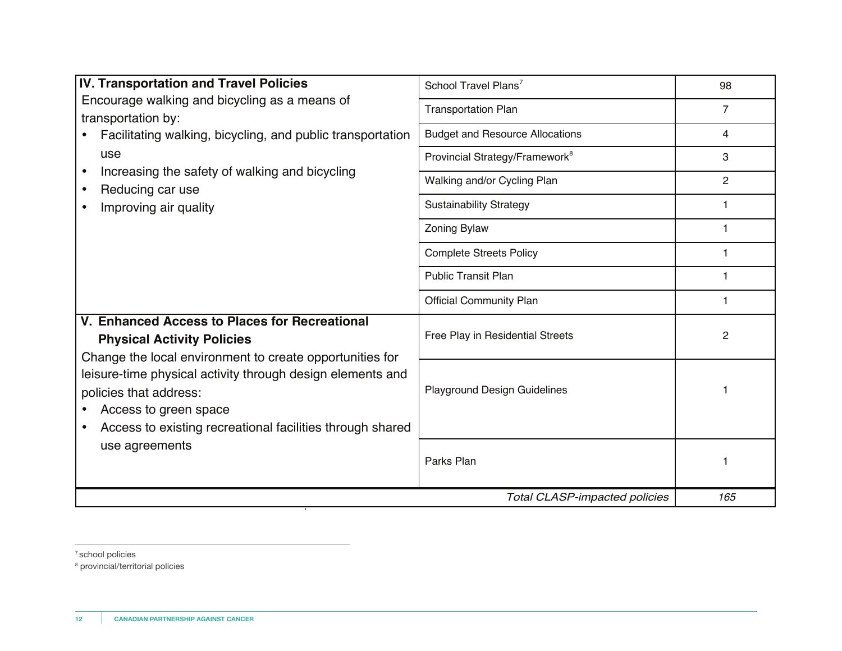| <b>IV. Transportation and Travel Policies</b>                                                                                                                                                                                                                                                                                                  | School Travel Plans <sup>7</sup>           | 98             |
|------------------------------------------------------------------------------------------------------------------------------------------------------------------------------------------------------------------------------------------------------------------------------------------------------------------------------------------------|--------------------------------------------|----------------|
| Encourage walking and bicycling as a means of<br>transportation by:<br>Facilitating walking, bicycling, and public transportation<br>use<br>Increasing the safety of walking and bicycling<br>Reducing car use<br>Improving air quality                                                                                                        | <b>Transportation Plan</b>                 | $\overline{7}$ |
|                                                                                                                                                                                                                                                                                                                                                | <b>Budget and Resource Allocations</b>     | 4              |
|                                                                                                                                                                                                                                                                                                                                                | Provincial Strategy/Framework <sup>8</sup> | 3              |
|                                                                                                                                                                                                                                                                                                                                                | Walking and/or Cycling Plan                | $\overline{2}$ |
|                                                                                                                                                                                                                                                                                                                                                | <b>Sustainability Strategy</b>             | 1              |
|                                                                                                                                                                                                                                                                                                                                                | <b>Zoning Bylaw</b>                        | 1.             |
|                                                                                                                                                                                                                                                                                                                                                | <b>Complete Streets Policy</b>             | 1              |
|                                                                                                                                                                                                                                                                                                                                                | <b>Public Transit Plan</b>                 | 1              |
|                                                                                                                                                                                                                                                                                                                                                | <b>Official Community Plan</b>             | 1              |
| V. Enhanced Access to Places for Recreational<br><b>Physical Activity Policies</b><br>Change the local environment to create opportunities for<br>leisure-time physical activity through design elements and<br>policies that address:<br>Access to green space<br>Access to existing recreational facilities through shared<br>use agreements | Free Play in Residential Streets           | $\mathbf{2}$   |
|                                                                                                                                                                                                                                                                                                                                                | <b>Playground Design Guidelines</b>        |                |
|                                                                                                                                                                                                                                                                                                                                                | Parks Plan                                 | 1              |
|                                                                                                                                                                                                                                                                                                                                                | <b>Total CLASP-impacted policies</b>       | 165            |

7 school policies

<sup>8</sup> provincial/territorial policies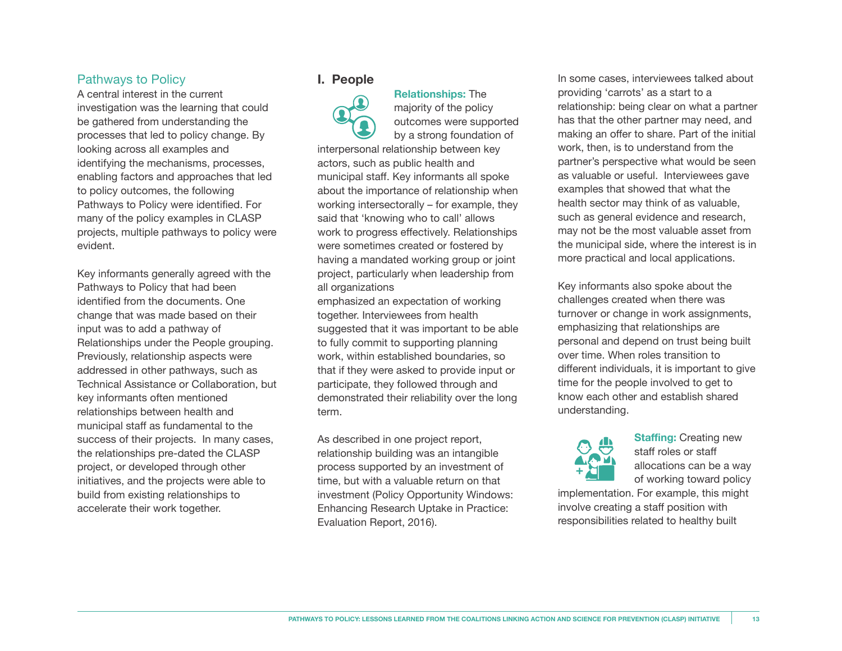#### Pathways to Policy

A central interest in the current investigation was the learning that could be gathered from understanding the processes that led to policy change. By looking across all examples and identifying the mechanisms, processes, enabling factors and approaches that led to policy outcomes, the following Pathways to Policy were identified. For many of the policy examples in CLASP projects, multiple pathways to policy were evident.

Key informants generally agreed with the Pathways to Policy that had been identified from the documents. One change that was made based on their input was to add a pathway of Relationships under the People grouping. Previously, relationship aspects were addressed in other pathways, such as Technical Assistance or Collaboration, but key informants often mentioned relationships between health and municipal staff as fundamental to the success of their projects. In many cases, the relationships pre-dated the CLASP project, or developed through other initiatives, and the projects were able to build from existing relationships to accelerate their work together.

#### **I. People**



 **Relationships:** The majority of the policy outcomes were supported by a strong foundation of

interpersonal relationship between key actors, such as public health and municipal staff. Key informants all spoke about the importance of relationship when working intersectorally – for example, they said that 'knowing who to call' allows work to progress effectively. Relationships were sometimes created or fostered by having a mandated working group or joint project, particularly when leadership from all organizations

emphasized an expectation of working together. Interviewees from health suggested that it was important to be able to fully commit to supporting planning work, within established boundaries, so that if they were asked to provide input or participate, they followed through and demonstrated their reliability over the long term.

As described in one project report, relationship building was an intangible process supported by an investment of time, but with a valuable return on that investment (Policy Opportunity Windows: Enhancing Research Uptake in Practice: Evaluation Report, 2016).

In some cases, interviewees talked about providing 'carrots' as a start to a relationship: being clear on what a partner has that the other partner may need, and making an offer to share. Part of the initial work, then, is to understand from the partner's perspective what would be seen as valuable or useful. Interviewees gave examples that showed that what the health sector may think of as valuable, such as general evidence and research, may not be the most valuable asset from the municipal side, where the interest is in more practical and local applications.

Key informants also spoke about the challenges created when there was turnover or change in work assignments, emphasizing that relationships are personal and depend on trust being built over time. When roles transition to different individuals, it is important to give time for the people involved to get to know each other and establish shared understanding.



 **Staffing:** Creating new staff roles or staff allocations can be a way of working toward policy

implementation. For example, this might involve creating a staff position with responsibilities related to healthy built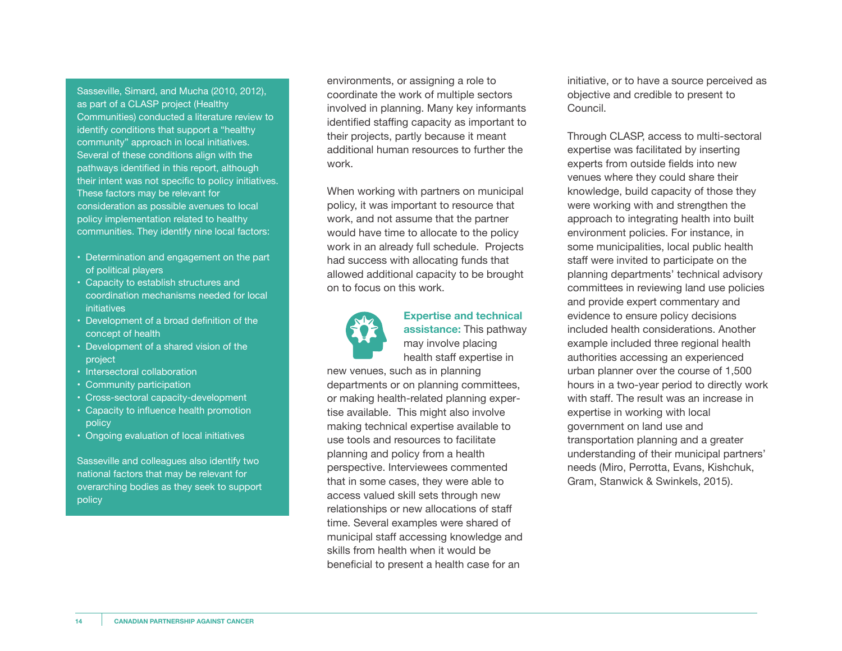Sasseville, Simard, and Mucha (2010, 2012), as part of a CLASP project (Healthy Communities) conducted a literature review to identify conditions that support a "healthy community" approach in local initiatives. Several of these conditions align with the pathways identified in this report, although their intent was not specific to policy initiatives. These factors may be relevant for consideration as possible avenues to local policy implementation related to healthy communities. They identify nine local factors:

- Determination and engagement on the part of political players
- Capacity to establish structures and coordination mechanisms needed for local initiatives
- Development of a broad definition of the concept of health
- Development of a shared vision of the project
- Intersectoral collaboration
- Community participation
- Cross-sectoral capacity-development
- Capacity to influence health promotion policy
- Ongoing evaluation of local initiatives

Sasseville and colleagues also identify two national factors that may be relevant for overarching bodies as they seek to support policy

environments, or assigning a role to coordinate the work of multiple sectors involved in planning. Many key informants identified staffing capacity as important to their projects, partly because it meant additional human resources to further the work.

When working with partners on municipal policy, it was important to resource that work, and not assume that the partner would have time to allocate to the policy work in an already full schedule. Projects had success with allocating funds that allowed additional capacity to be brought on to focus on this work.



#### **Expertise and technical assistance:** This pathway

 may involve placing health staff expertise in

new venues, such as in planning departments or on planning committees, or making health-related planning expertise available. This might also involve making technical expertise available to use tools and resources to facilitate planning and policy from a health perspective. Interviewees commented that in some cases, they were able to access valued skill sets through new relationships or new allocations of staff time. Several examples were shared of municipal staff accessing knowledge and skills from health when it would be beneficial to present a health case for an

initiative, or to have a source perceived as objective and credible to present to Council.

Through CLASP, access to multi-sectoral expertise was facilitated by inserting experts from outside fields into new venues where they could share their knowledge, build capacity of those they were working with and strengthen the approach to integrating health into built environment policies. For instance, in some municipalities, local public health staff were invited to participate on the planning departments' technical advisory committees in reviewing land use policies and provide expert commentary and evidence to ensure policy decisions included health considerations. Another example included three regional health authorities accessing an experienced urban planner over the course of 1,500 hours in a two-year period to directly work with staff. The result was an increase in expertise in working with local government on land use and transportation planning and a greater understanding of their municipal partners' needs (Miro, Perrotta, Evans, Kishchuk, Gram, Stanwick & Swinkels, 2015).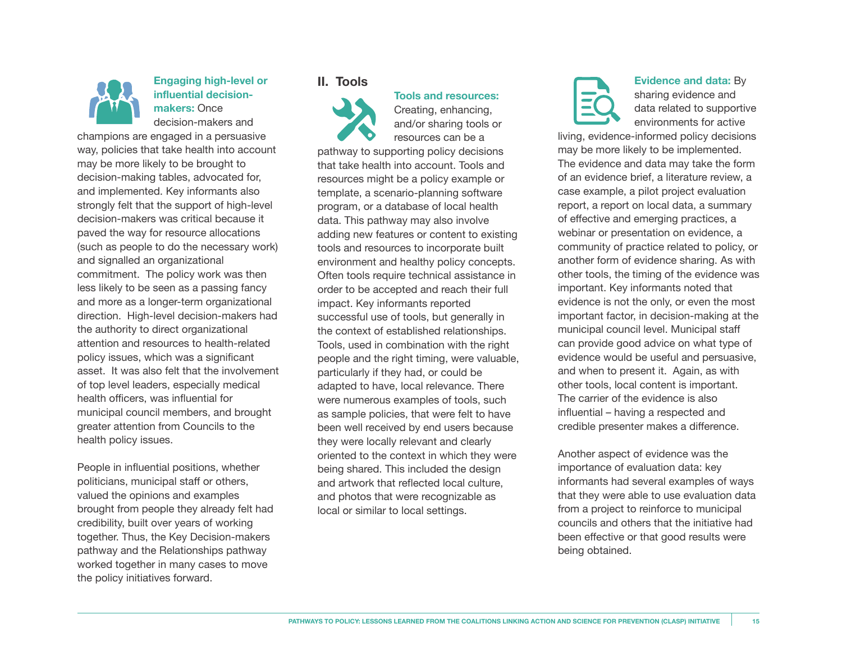

#### **Engaging high-level or influential decision makers:** Once decision-makers and

champions are engaged in a persuasive way, policies that take health into account may be more likely to be brought to decision-making tables, advocated for, and implemented. Key informants also strongly felt that the support of high-level decision-makers was critical because it paved the way for resource allocations (such as people to do the necessary work) and signalled an organizational commitment. The policy work was then less likely to be seen as a passing fancy and more as a longer-term organizational direction. High-level decision-makers had the authority to direct organizational attention and resources to health-related policy issues, which was a significant asset. It was also felt that the involvement of top level leaders, especially medical health officers, was influential for municipal council members, and brought greater attention from Councils to the health policy issues.

People in influential positions, whether politicians, municipal staff or others, valued the opinions and examples brought from people they already felt had credibility, built over years of working together. Thus, the Key Decision-makers pathway and the Relationships pathway worked together in many cases to move the policy initiatives forward.

#### **II. Tools**



Creating, enhancing, and/or sharing tools or resources can be a

 **Tools and resources:** 

pathway to supporting policy decisions that take health into account. Tools and resources might be a policy example or template, a scenario-planning software program, or a database of local health data. This pathway may also involve adding new features or content to existing tools and resources to incorporate built environment and healthy policy concepts. Often tools require technical assistance in order to be accepted and reach their full impact. Key informants reported successful use of tools, but generally in the context of established relationships. Tools, used in combination with the right people and the right timing, were valuable, particularly if they had, or could be adapted to have, local relevance. There were numerous examples of tools, such as sample policies, that were felt to have been well received by end users because they were locally relevant and clearly oriented to the context in which they were being shared. This included the design and artwork that reflected local culture, and photos that were recognizable as local or similar to local settings.

#### **Evidence and data:** By sharing evidence and data related to supportive environments for active

living, evidence-informed policy decisions may be more likely to be implemented. The evidence and data may take the form of an evidence brief, a literature review, a case example, a pilot project evaluation report, a report on local data, a summary of effective and emerging practices, a webinar or presentation on evidence, a community of practice related to policy, or another form of evidence sharing. As with other tools, the timing of the evidence was important. Key informants noted that evidence is not the only, or even the most important factor, in decision-making at the municipal council level. Municipal staff can provide good advice on what type of evidence would be useful and persuasive, and when to present it. Again, as with other tools, local content is important. The carrier of the evidence is also influential – having a respected and credible presenter makes a difference.

Another aspect of evidence was the importance of evaluation data: key informants had several examples of ways that they were able to use evaluation data from a project to reinforce to municipal councils and others that the initiative had been effective or that good results were being obtained.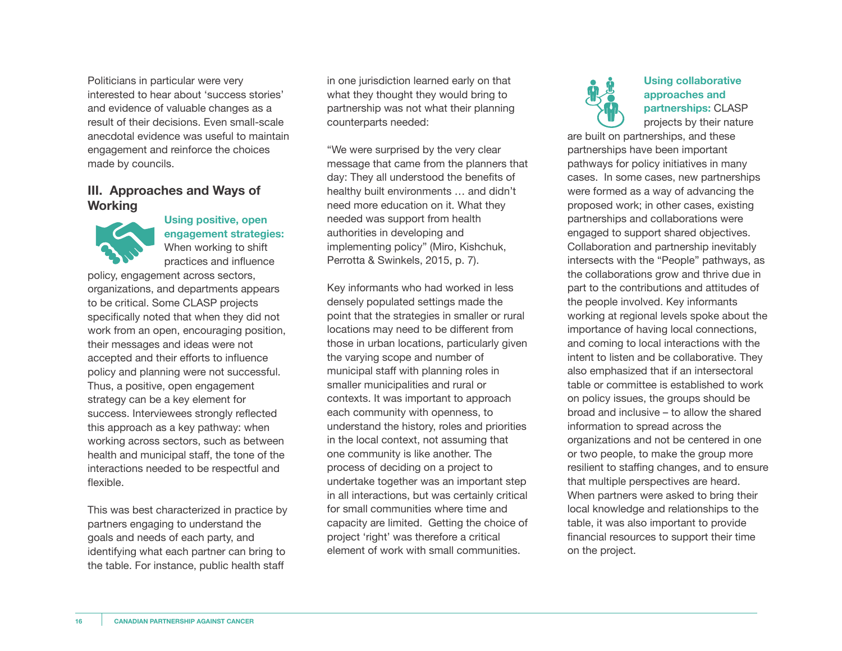Politicians in particular were very interested to hear about 'success stories' and evidence of valuable changes as a result of their decisions. Even small-scale anecdotal evidence was useful to maintain engagement and reinforce the choices made by councils.

#### **III. Approaches and Ways of Working**



 **Using positive, open engagement strategies:** When working to shift practices and influence

policy, engagement across sectors, organizations, and departments appears to be critical. Some CLASP projects specifically noted that when they did not work from an open, encouraging position, their messages and ideas were not accepted and their efforts to influence policy and planning were not successful. Thus, a positive, open engagement strategy can be a key element for success. Interviewees strongly reflected this approach as a key pathway: when working across sectors, such as between health and municipal staff, the tone of the interactions needed to be respectful and flexible.

This was best characterized in practice by partners engaging to understand the goals and needs of each party, and identifying what each partner can bring to the table. For instance, public health staff

in one jurisdiction learned early on that what they thought they would bring to partnership was not what their planning counterparts needed:

"We were surprised by the very clear message that came from the planners that day: They all understood the benefits of healthy built environments … and didn't need more education on it. What they needed was support from health authorities in developing and implementing policy" (Miro, Kishchuk, Perrotta & Swinkels, 2015, p. 7).

Key informants who had worked in less densely populated settings made the point that the strategies in smaller or rural locations may need to be different from those in urban locations, particularly given the varying scope and number of municipal staff with planning roles in smaller municipalities and rural or contexts. It was important to approach each community with openness, to understand the history, roles and priorities in the local context, not assuming that one community is like another. The process of deciding on a project to undertake together was an important step in all interactions, but was certainly critical for small communities where time and capacity are limited. Getting the choice of project 'right' was therefore a critical element of work with small communities.



#### **Using collaborative approaches and partnerships:** CLASP projects by their nature

are built on partnerships, and these partnerships have been important pathways for policy initiatives in many cases. In some cases, new partnerships were formed as a way of advancing the proposed work; in other cases, existing partnerships and collaborations were engaged to support shared objectives. Collaboration and partnership inevitably intersects with the "People" pathways, as the collaborations grow and thrive due in part to the contributions and attitudes of the people involved. Key informants working at regional levels spoke about the importance of having local connections, and coming to local interactions with the intent to listen and be collaborative. They also emphasized that if an intersectoral table or committee is established to work on policy issues, the groups should be broad and inclusive – to allow the shared information to spread across the organizations and not be centered in one or two people, to make the group more resilient to staffing changes, and to ensure that multiple perspectives are heard. When partners were asked to bring their local knowledge and relationships to the table, it was also important to provide financial resources to support their time on the project.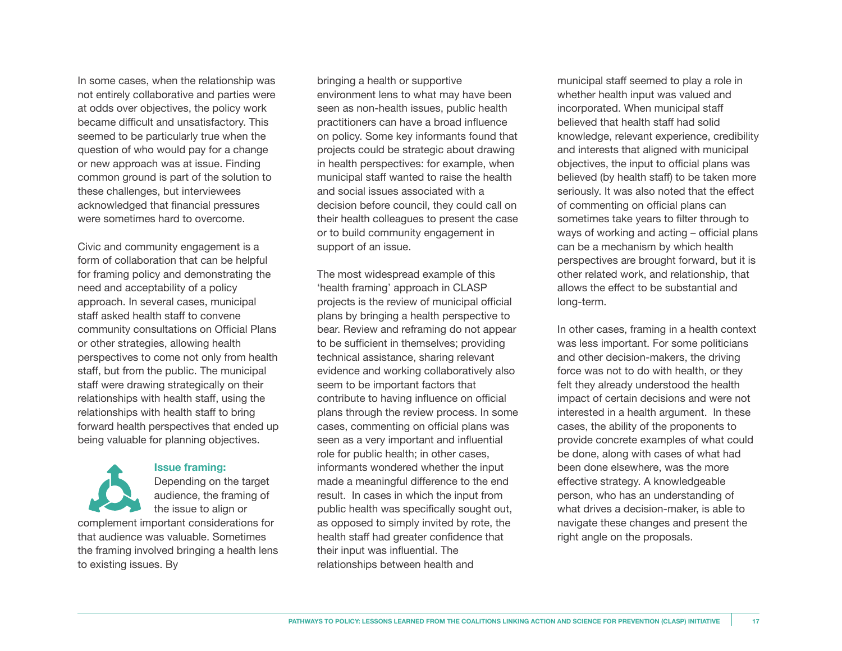In some cases, when the relationship was not entirely collaborative and parties were at odds over objectives, the policy work became difficult and unsatisfactory. This seemed to be particularly true when the question of who would pay for a change or new approach was at issue. Finding common ground is part of the solution to these challenges, but interviewees acknowledged that financial pressures were sometimes hard to overcome.

Civic and community engagement is a form of collaboration that can be helpful for framing policy and demonstrating the need and acceptability of a policy approach. In several cases, municipal staff asked health staff to convene community consultations on Official Plans or other strategies, allowing health perspectives to come not only from health staff, but from the public. The municipal staff were drawing strategically on their relationships with health staff, using the relationships with health staff to bring forward health perspectives that ended up being valuable for planning objectives.

#### Depending on the target audience, the framing of the issue to align or complement important considerations for that audience was valuable. Sometimes

 **Issue framing:**

the framing involved bringing a health lens to existing issues. By

bringing a health or supportive environment lens to what may have been seen as non-health issues, public health practitioners can have a broad influence on policy. Some key informants found that projects could be strategic about drawing in health perspectives: for example, when municipal staff wanted to raise the health and social issues associated with a decision before council, they could call on their health colleagues to present the case or to build community engagement in support of an issue.

The most widespread example of this 'health framing' approach in CLASP projects is the review of municipal official plans by bringing a health perspective to bear. Review and reframing do not appear to be sufficient in themselves; providing technical assistance, sharing relevant evidence and working collaboratively also seem to be important factors that contribute to having influence on official plans through the review process. In some cases, commenting on official plans was seen as a very important and influential role for public health; in other cases, informants wondered whether the input made a meaningful difference to the end result. In cases in which the input from public health was specifically sought out, as opposed to simply invited by rote, the health staff had greater confidence that their input was influential. The relationships between health and

municipal staff seemed to play a role in whether health input was valued and incorporated. When municipal staff believed that health staff had solid knowledge, relevant experience, credibility and interests that aligned with municipal objectives, the input to official plans was believed (by health staff) to be taken more seriously. It was also noted that the effect of commenting on official plans can sometimes take years to filter through to ways of working and acting – official plans can be a mechanism by which health perspectives are brought forward, but it is other related work, and relationship, that allows the effect to be substantial and long-term.

In other cases, framing in a health context was less important. For some politicians and other decision-makers, the driving force was not to do with health, or they felt they already understood the health impact of certain decisions and were not interested in a health argument. In these cases, the ability of the proponents to provide concrete examples of what could be done, along with cases of what had been done elsewhere, was the more effective strategy. A knowledgeable person, who has an understanding of what drives a decision-maker, is able to navigate these changes and present the right angle on the proposals.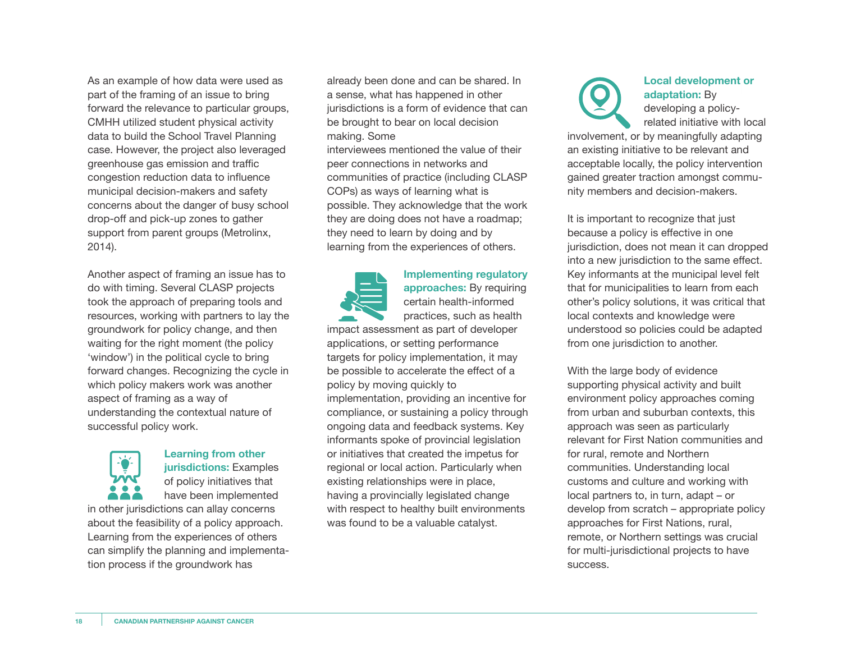As an example of how data were used as part of the framing of an issue to bring forward the relevance to particular groups, CMHH utilized student physical activity data to build the School Travel Planning case. However, the project also leveraged greenhouse gas emission and traffic congestion reduction data to influence municipal decision-makers and safety concerns about the danger of busy school drop-off and pick-up zones to gather support from parent groups (Metrolinx, 2014).

Another aspect of framing an issue has to do with timing. Several CLASP projects took the approach of preparing tools and resources, working with partners to lay the groundwork for policy change, and then waiting for the right moment (the policy 'window') in the political cycle to bring forward changes. Recognizing the cycle in which policy makers work was another aspect of framing as a way of understanding the contextual nature of successful policy work.



#### **Learning from other jurisdictions:** Examples of policy initiatives that have been implemented

in other jurisdictions can allay concerns about the feasibility of a policy approach. Learning from the experiences of others can simplify the planning and implementation process if the groundwork has

already been done and can be shared. In a sense, what has happened in other jurisdictions is a form of evidence that can be brought to bear on local decision making. Some

interviewees mentioned the value of their peer connections in networks and communities of practice (including CLASP COPs) as ways of learning what is possible. They acknowledge that the work they are doing does not have a roadmap; they need to learn by doing and by learning from the experiences of others.

 **Implementing regulatory approaches:** By requiring certain health-informed practices, such as health impact assessment as part of developer applications, or setting performance

targets for policy implementation, it may be possible to accelerate the effect of a policy by moving quickly to implementation, providing an incentive for compliance, or sustaining a policy through ongoing data and feedback systems. Key informants spoke of provincial legislation or initiatives that created the impetus for regional or local action. Particularly when existing relationships were in place, having a provincially legislated change with respect to healthy built environments was found to be a valuable catalyst.



#### **Local development or adaptation:** By

 developing a policy related initiative with local

involvement, or by meaningfully adapting an existing initiative to be relevant and acceptable locally, the policy intervention gained greater traction amongst community members and decision-makers.

It is important to recognize that just because a policy is effective in one jurisdiction, does not mean it can dropped into a new jurisdiction to the same effect. Key informants at the municipal level felt that for municipalities to learn from each other's policy solutions, it was critical that local contexts and knowledge were understood so policies could be adapted from one jurisdiction to another.

With the large body of evidence supporting physical activity and built environment policy approaches coming from urban and suburban contexts, this approach was seen as particularly relevant for First Nation communities and for rural, remote and Northern communities. Understanding local customs and culture and working with local partners to, in turn, adapt – or develop from scratch – appropriate policy approaches for First Nations, rural, remote, or Northern settings was crucial for multi-jurisdictional projects to have success.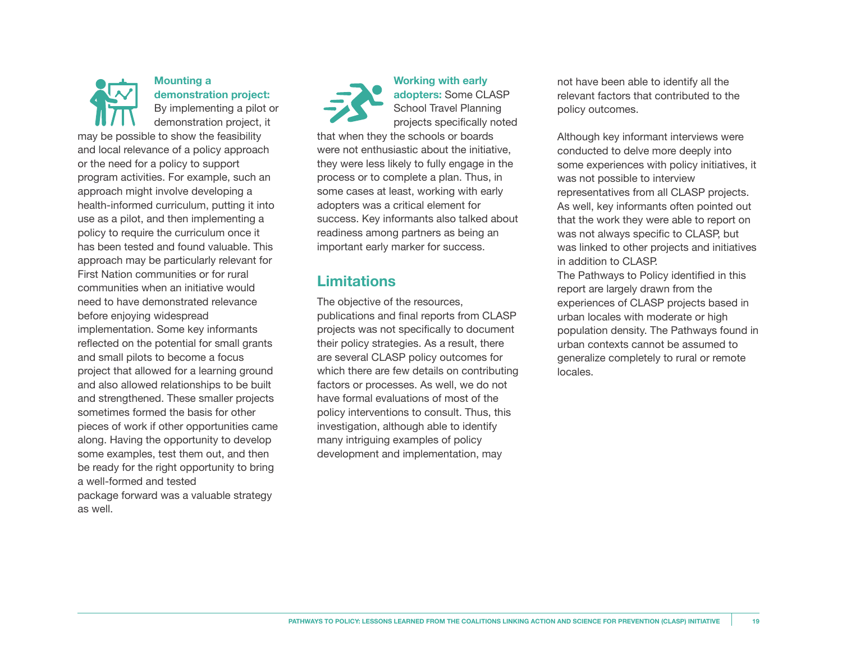

#### **Mounting a demonstration project:**

 By implementing a pilot or demonstration project, it

may be possible to show the feasibility and local relevance of a policy approach or the need for a policy to support program activities. For example, such an approach might involve developing a health-informed curriculum, putting it into use as a pilot, and then implementing a policy to require the curriculum once it has been tested and found valuable. This approach may be particularly relevant for First Nation communities or for rural communities when an initiative would need to have demonstrated relevance before enjoying widespread implementation. Some key informants reflected on the potential for small grants and small pilots to become a focus project that allowed for a learning ground and also allowed relationships to be built and strengthened. These smaller projects sometimes formed the basis for other pieces of work if other opportunities came along. Having the opportunity to develop some examples, test them out, and then be ready for the right opportunity to bring a well-formed and tested package forward was a valuable strategy as well.

 **Working with early adopters:** Some CLASP School Travel Planning projects specifically noted that when they the schools or boards were not enthusiastic about the initiative, they were less likely to fully engage in the process or to complete a plan. Thus, in some cases at least, working with early adopters was a critical element for success. Key informants also talked about readiness among partners as being an important early marker for success.

#### **Limitations**

The objective of the resources, publications and final reports from CLASP projects was not specifically to document their policy strategies. As a result, there are several CLASP policy outcomes for which there are few details on contributing factors or processes. As well, we do not have formal evaluations of most of the policy interventions to consult. Thus, this investigation, although able to identify many intriguing examples of policy development and implementation, may

not have been able to identify all the relevant factors that contributed to the policy outcomes.

Although key informant interviews were conducted to delve more deeply into some experiences with policy initiatives, it was not possible to interview representatives from all CLASP projects. As well, key informants often pointed out that the work they were able to report on was not always specific to CLASP, but was linked to other projects and initiatives in addition to CLASP.

The Pathways to Policy identified in this report are largely drawn from the experiences of CLASP projects based in urban locales with moderate or high population density. The Pathways found in urban contexts cannot be assumed to generalize completely to rural or remote locales.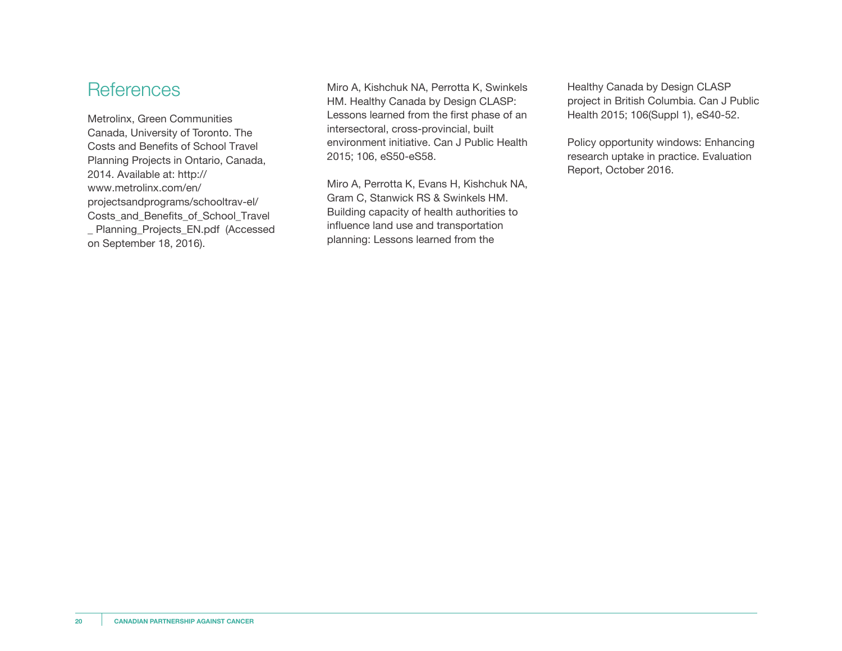## **References**

Metrolinx, Green Communities Canada, University of Toronto. The Costs and Benefits of School Travel Planning Projects in Ontario, Canada, 2014. Available at: http:// www.metrolinx.com/en/ projectsandprograms/schooltrav-el/ Costs\_and\_Benefits\_of\_School\_Travel \_ Planning\_Projects\_EN.pdf (Accessed on September 18, 2016).

Miro A, Kishchuk NA, Perrotta K, Swinkels HM. Healthy Canada by Design CLASP: Lessons learned from the first phase of an intersectoral, cross-provincial, built environment initiative. Can J Public Health 2015; 106, eS50-eS58.

Miro A, Perrotta K, Evans H, Kishchuk NA, Gram C, Stanwick RS & Swinkels HM. Building capacity of health authorities to influence land use and transportation planning: Lessons learned from the

Healthy Canada by Design CLASP project in British Columbia. Can J Public Health 2015; 106(Suppl 1), eS40-52.

Policy opportunity windows: Enhancing research uptake in practice. Evaluation Report, October 2016.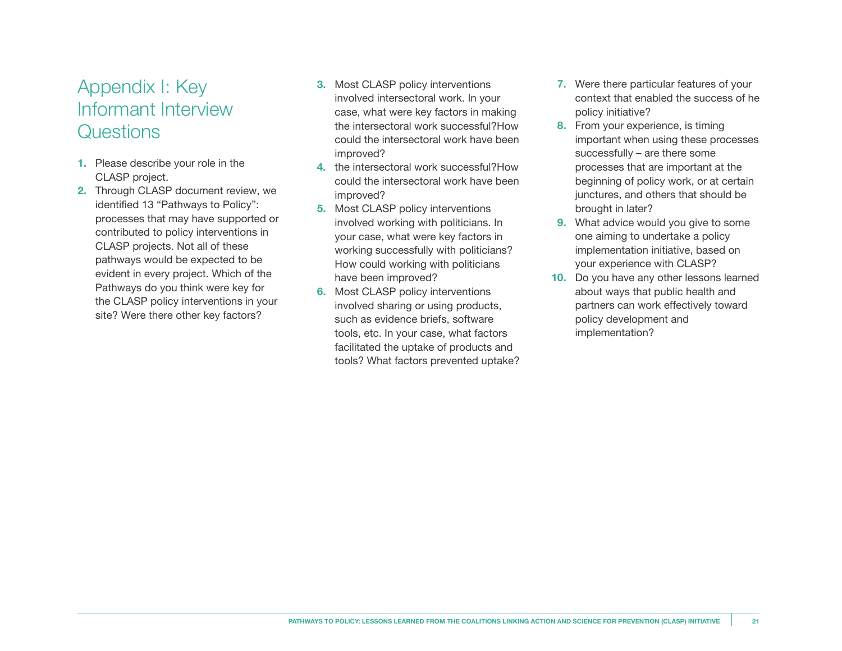# Appendix I: Key Informant Interview **Questions**

- **1.** Please describe your role in the CLASP project.
- **2.** Through CLASP document review, we identified 13 "Pathways to Policy": processes that may have supported or contributed to policy interventions in CLASP projects. Not all of these pathways would be expected to be evident in every project. Which of the Pathways do you think were key for the CLASP policy interventions in your site? Were there other key factors?
- **3.** Most CLASP policy interventions involved intersectoral work. In your case, what were key factors in making the intersectoral work successful?How could the intersectoral work have been improved?
- **4.** the intersectoral work successful?How could the intersectoral work have been improved?
- **5.** Most CLASP policy interventions involved working with politicians. In your case, what were key factors in working successfully with politicians? How could working with politicians have been improved?
- **6.** Most CLASP policy interventions involved sharing or using products, such as evidence briefs, software tools, etc. In your case, what factors facilitated the uptake of products and tools? What factors prevented uptake?
- **7.** Were there particular features of your context that enabled the success of he policy initiative?
- **8.** From your experience, is timing important when using these processes successfully – are there some processes that are important at the beginning of policy work, or at certain junctures, and others that should be brought in later?
- **9.** What advice would you give to some one aiming to undertake a policy implementation initiative, based on your experience with CLASP?
- **10.** Do you have any other lessons learned about ways that public health and partners can work effectively toward policy development and implementation?